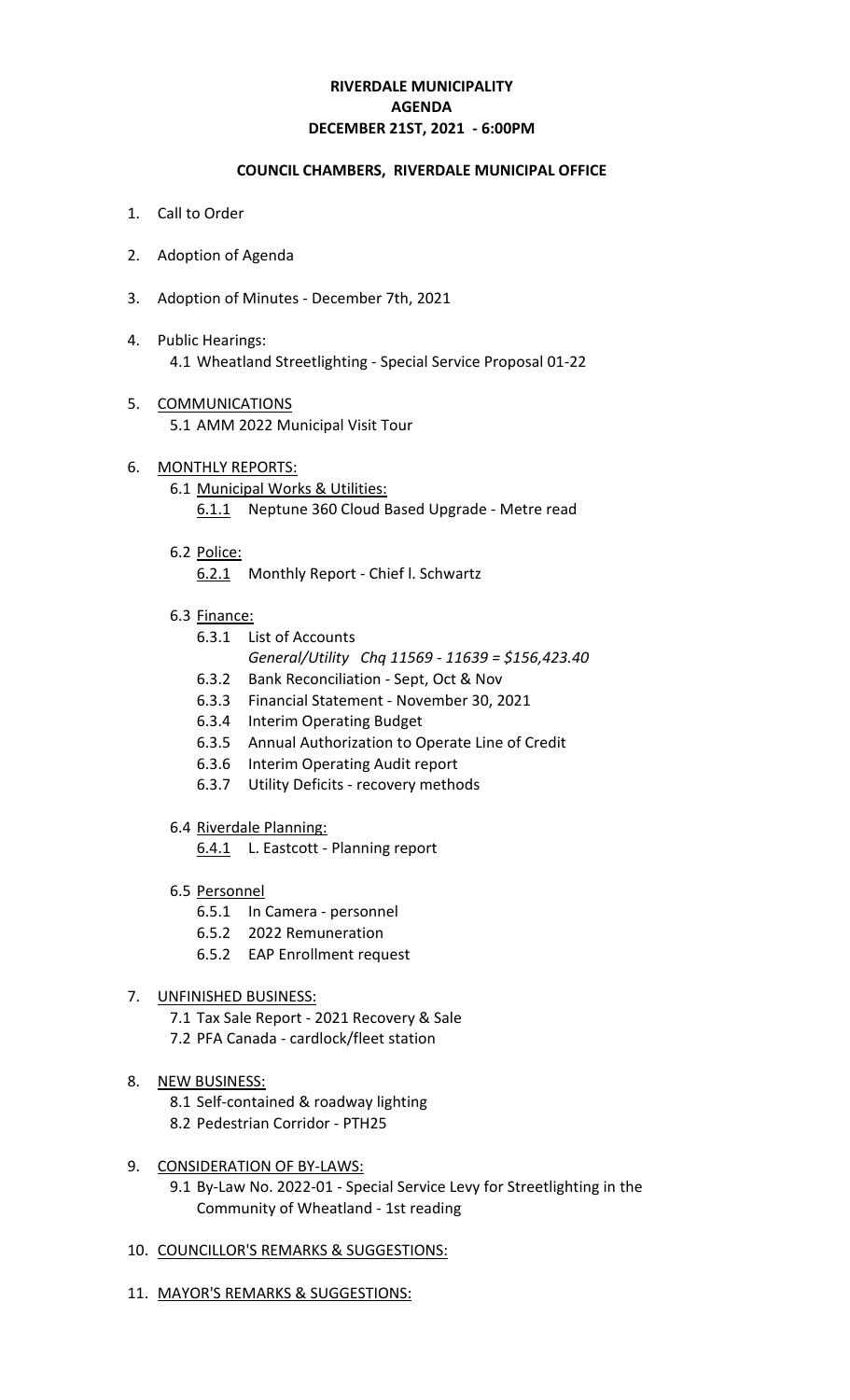# **RIVERDALE MUNICIPALITY DECEMBER 21ST, 2021 - 6:00PM AGENDA**

## **COUNCIL CHAMBERS, RIVERDALE MUNICIPAL OFFICE**

- 1. Call to Order
- 2. Adoption of Agenda
- 3. Adoption of Minutes December 7th, 2021
- 4. Public Hearings: 4.1 Wheatland Streetlighting - Special Service Proposal 01-22
- 5. COMMUNICATIONS 5.1 AMM 2022 Municipal Visit Tour
- 6. MONTHLY REPORTS:
	- 6.1 Municipal Works & Utilities:
		- 6.1.1 Neptune 360 Cloud Based Upgrade Metre read
	- 6.2 Police:
		- 6.2.1 Monthly Report Chief l. Schwartz
	- 6.3 Finance:
		- 6.3.1 List of Accounts
			- *General/Utility Chq 11569 11639 = \$156,423.40*
		- 6.3.2 Bank Reconciliation Sept, Oct & Nov
		- 6.3.3 Financial Statement November 30, 2021
		- 6.3.4 Interim Operating Budget
		- 6.3.5 Annual Authorization to Operate Line of Credit
		- 6.3.6 Interim Operating Audit report
		- 6.3.7 Utility Deficits recovery methods
	- 6.4 Riverdale Planning:

6.4.1 L. Eastcott - Planning report

- 6.5 Personnel
	- 6.5.1 In Camera personnel
	- 6.5.2 2022 Remuneration
	- 6.5.2 EAP Enrollment request

#### 7. UNFINISHED BUSINESS:

- 7.1 Tax Sale Report 2021 Recovery & Sale
- 7.2 PFA Canada cardlock/fleet station
- 8. NEW BUSINESS:
	- 8.1 Self-contained & roadway lighting
	- 8.2 Pedestrian Corridor PTH25

#### 9. CONSIDERATION OF BY-LAWS:

- 9.1 By-Law No. 2022-01 Special Service Levy for Streetlighting in the Community of Wheatland - 1st reading
- 10. COUNCILLOR'S REMARKS & SUGGESTIONS:
- 11. MAYOR'S REMARKS & SUGGESTIONS: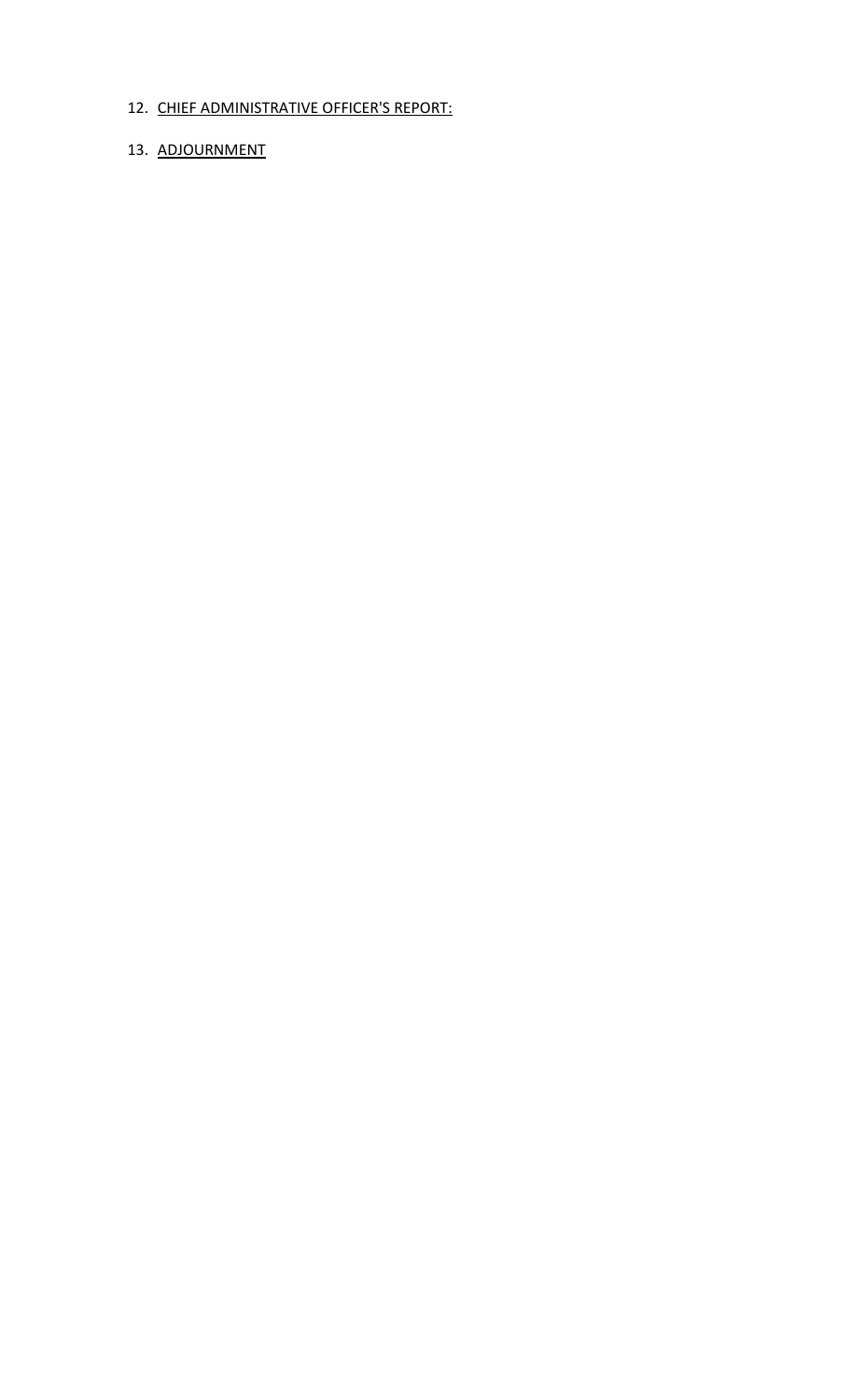# 12. CHIEF ADMINISTRATIVE OFFICER'S REPORT:

# 13. ADJOURNMENT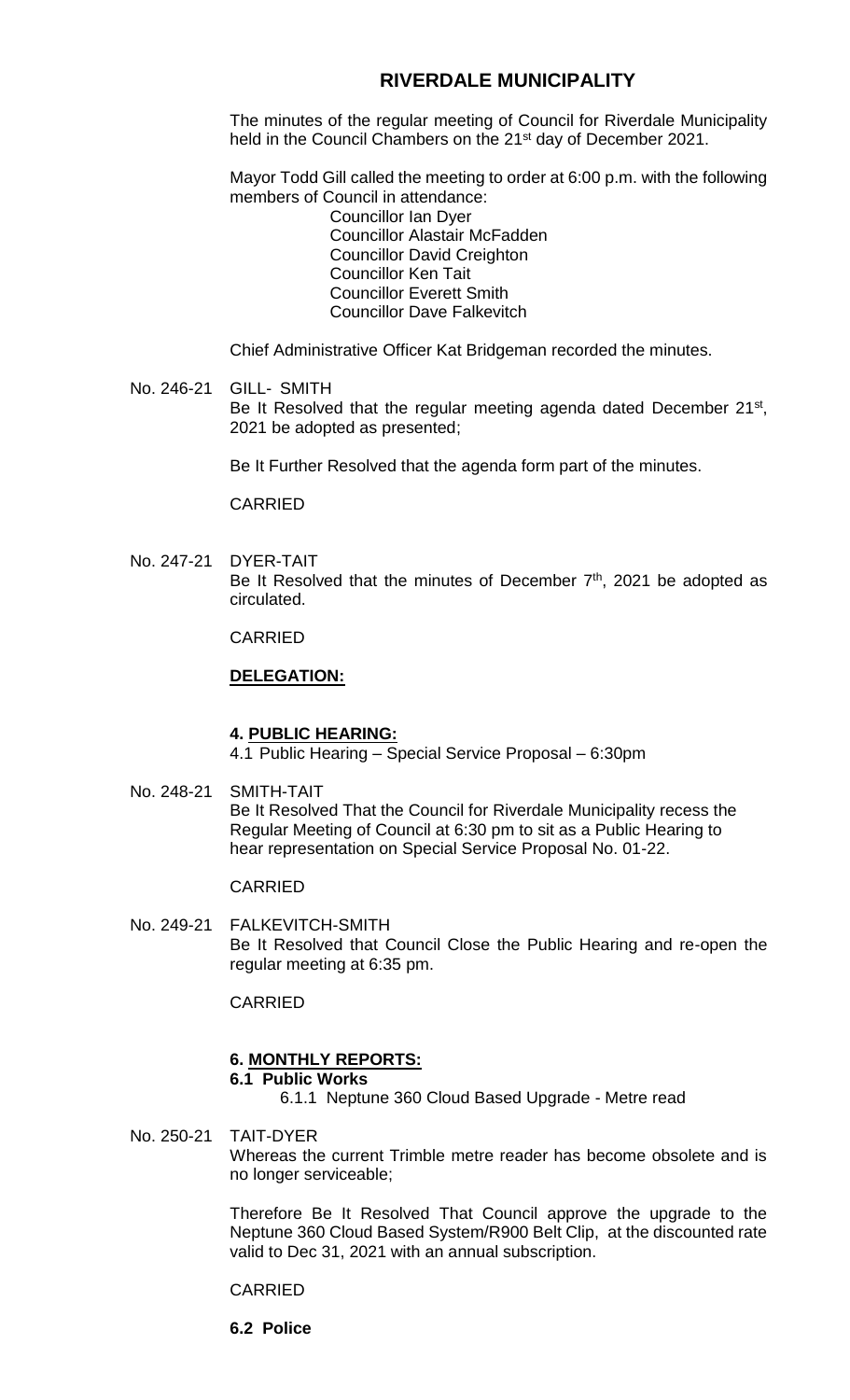# **RIVERDALE MUNICIPALITY**

The minutes of the regular meeting of Council for Riverdale Municipality held in the Council Chambers on the 21<sup>st</sup> day of December 2021.

Mayor Todd Gill called the meeting to order at 6:00 p.m. with the following members of Council in attendance:

Councillor Ian Dyer Councillor Alastair McFadden Councillor David Creighton Councillor Ken Tait Councillor Everett Smith Councillor Dave Falkevitch

Chief Administrative Officer Kat Bridgeman recorded the minutes.

## No. 246-21 GILL- SMITH Be It Resolved that the regular meeting agenda dated December 21<sup>st</sup>, 2021 be adopted as presented;

Be It Further Resolved that the agenda form part of the minutes.

CARRIED

No. 247-21 DYER-TAIT Be It Resolved that the minutes of December  $7<sup>th</sup>$ , 2021 be adopted as circulated.

CARRIED

# **DELEGATION:**

#### **4. PUBLIC HEARING:**

4.1 Public Hearing – Special Service Proposal – 6:30pm

No. 248-21 SMITH-TAIT Be It Resolved That the Council for Riverdale Municipality recess the Regular Meeting of Council at 6:30 pm to sit as a Public Hearing to hear representation on Special Service Proposal No. 01-22.

# CARRIED

No. 249-21 FALKEVITCH-SMITH Be It Resolved that Council Close the Public Hearing and re-open the regular meeting at 6:35 pm.

CARRIED

# **6. MONTHLY REPORTS:**

# **6.1 Public Works**

6.1.1 Neptune 360 Cloud Based Upgrade - Metre read

No. 250-21 TAIT-DYER Whereas the current Trimble metre reader has become obsolete and is no longer serviceable;

> Therefore Be It Resolved That Council approve the upgrade to the Neptune 360 Cloud Based System/R900 Belt Clip, at the discounted rate valid to Dec 31, 2021 with an annual subscription.

CARRIED

**6.2 Police**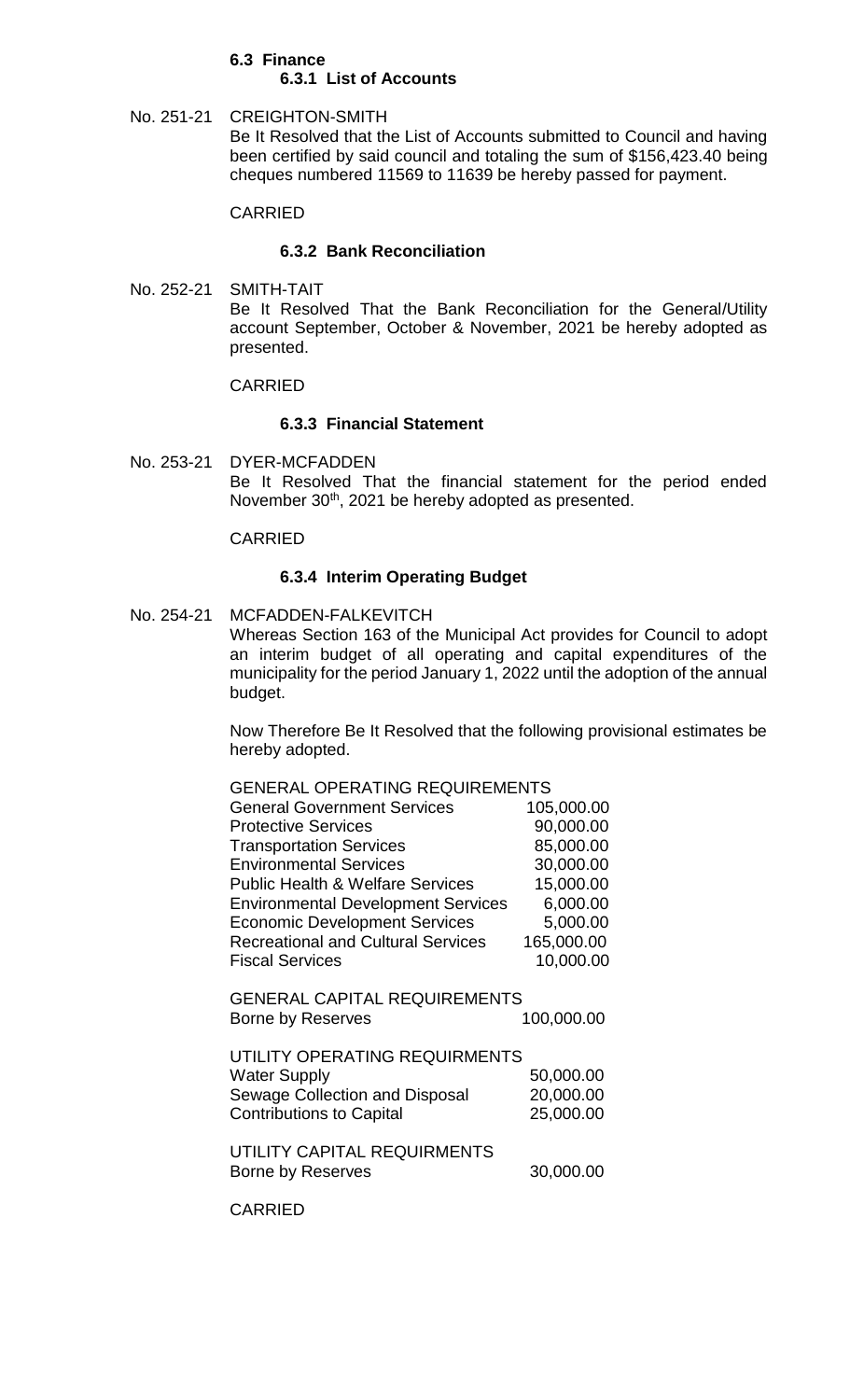#### **6.3 Finance 6.3.1 List of Accounts**

No. 251-21 CREIGHTON-SMITH Be It Resolved that the List of Accounts submitted to Council and having been certified by said council and totaling the sum of \$156,423.40 being cheques numbered 11569 to 11639 be hereby passed for payment.

# CARRIED

# **6.3.2 Bank Reconciliation**

No. 252-21 SMITH-TAIT Be It Resolved That the Bank Reconciliation for the General/Utility account September, October & November, 2021 be hereby adopted as presented.

# CARRIED

# **6.3.3 Financial Statement**

No. 253-21 DYER-MCFADDEN Be It Resolved That the financial statement for the period ended November 30<sup>th</sup>, 2021 be hereby adopted as presented.

# CARRIED

# **6.3.4 Interim Operating Budget**

GENERAL OPERATING REQUIREMENTS

No. 254-21 MCFADDEN-FALKEVITCH Whereas Section 163 of the Municipal Act provides for Council to adopt an interim budget of all operating and capital expenditures of the municipality for the period January 1, 2022 until the adoption of the annual budget.

> Now Therefore Be It Resolved that the following provisional estimates be hereby adopted.

| GENERAL OPERATING REQUIREMENTS                           |            |
|----------------------------------------------------------|------------|
| <b>General Government Services</b>                       | 105,000.00 |
| <b>Protective Services</b>                               | 90,000.00  |
| <b>Transportation Services</b>                           | 85,000.00  |
| <b>Environmental Services</b>                            | 30,000.00  |
| <b>Public Health &amp; Welfare Services</b>              | 15,000.00  |
| <b>Environmental Development Services</b>                | 6,000.00   |
| <b>Economic Development Services</b>                     | 5,000.00   |
| <b>Recreational and Cultural Services</b>                | 165,000.00 |
| <b>Fiscal Services</b>                                   | 10,000.00  |
| <b>GENERAL CAPITAL REQUIREMENTS</b><br>Borne by Reserves | 100,000.00 |
| UTILITY OPERATING REQUIRMENTS                            |            |
| <b>Water Supply</b>                                      | 50,000.00  |
| Sewage Collection and Disposal                           | 20,000.00  |
| <b>Contributions to Capital</b>                          | 25,000.00  |
| UTILITY CAPITAL REQUIRMENTS<br>Borne by Reserves         | 30,000.00  |
|                                                          |            |

CARRIED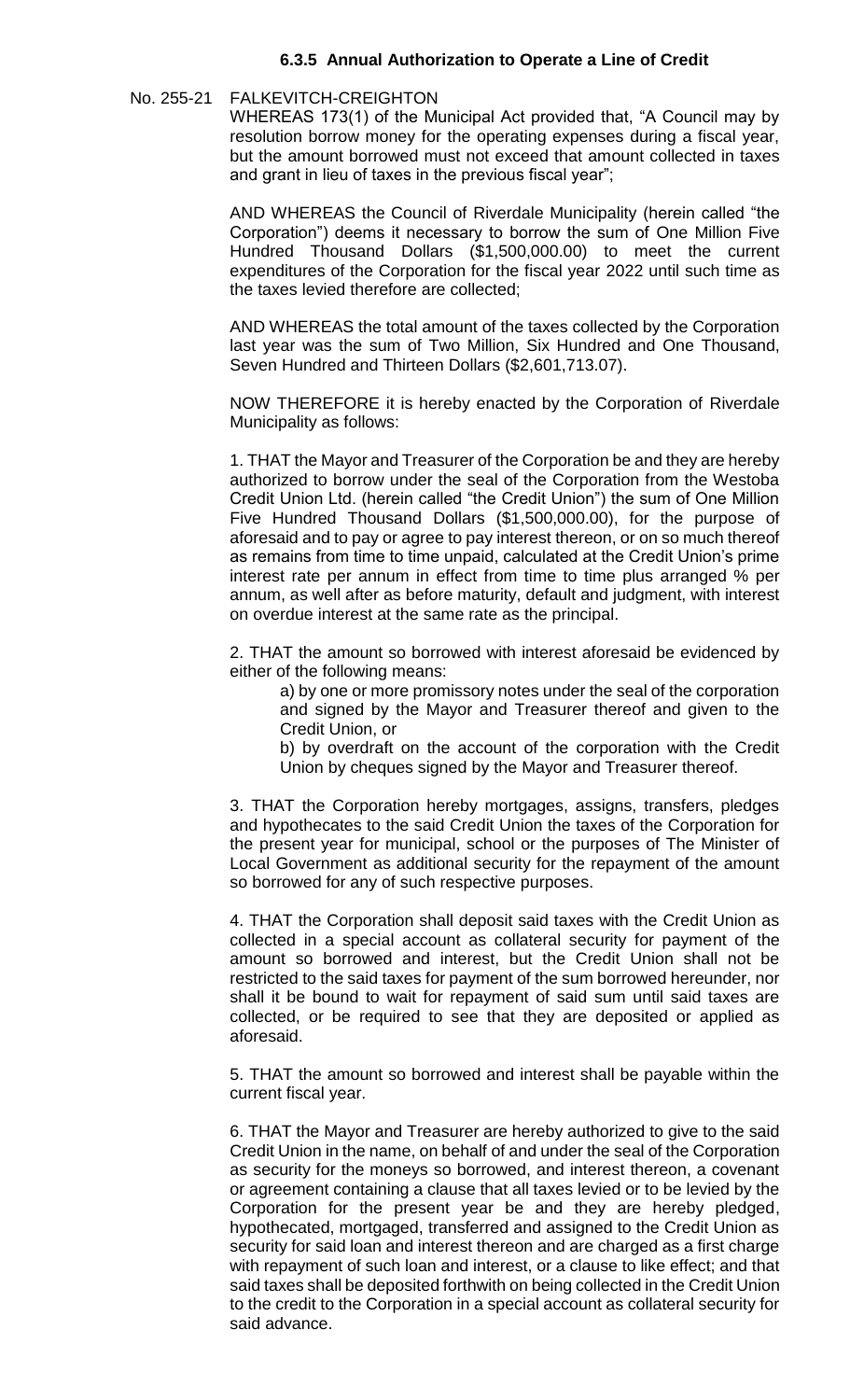# **6.3.5 Annual Authorization to Operate a Line of Credit**

#### No. 255-21 FALKEVITCH-CREIGHTON

WHEREAS 173(1) of the Municipal Act provided that, "A Council may by resolution borrow money for the operating expenses during a fiscal year, but the amount borrowed must not exceed that amount collected in taxes and grant in lieu of taxes in the previous fiscal year";

AND WHEREAS the Council of Riverdale Municipality (herein called "the Corporation") deems it necessary to borrow the sum of One Million Five Hundred Thousand Dollars (\$1,500,000.00) to meet the current expenditures of the Corporation for the fiscal year 2022 until such time as the taxes levied therefore are collected;

AND WHEREAS the total amount of the taxes collected by the Corporation last year was the sum of Two Million, Six Hundred and One Thousand, Seven Hundred and Thirteen Dollars (\$2,601,713.07).

NOW THEREFORE it is hereby enacted by the Corporation of Riverdale Municipality as follows:

1. THAT the Mayor and Treasurer of the Corporation be and they are hereby authorized to borrow under the seal of the Corporation from the Westoba Credit Union Ltd. (herein called "the Credit Union") the sum of One Million Five Hundred Thousand Dollars (\$1,500,000.00), for the purpose of aforesaid and to pay or agree to pay interest thereon, or on so much thereof as remains from time to time unpaid, calculated at the Credit Union's prime interest rate per annum in effect from time to time plus arranged % per annum, as well after as before maturity, default and judgment, with interest on overdue interest at the same rate as the principal.

2. THAT the amount so borrowed with interest aforesaid be evidenced by either of the following means:

a) by one or more promissory notes under the seal of the corporation and signed by the Mayor and Treasurer thereof and given to the Credit Union, or

b) by overdraft on the account of the corporation with the Credit Union by cheques signed by the Mayor and Treasurer thereof.

3. THAT the Corporation hereby mortgages, assigns, transfers, pledges and hypothecates to the said Credit Union the taxes of the Corporation for the present year for municipal, school or the purposes of The Minister of Local Government as additional security for the repayment of the amount so borrowed for any of such respective purposes.

4. THAT the Corporation shall deposit said taxes with the Credit Union as collected in a special account as collateral security for payment of the amount so borrowed and interest, but the Credit Union shall not be restricted to the said taxes for payment of the sum borrowed hereunder, nor shall it be bound to wait for repayment of said sum until said taxes are collected, or be required to see that they are deposited or applied as aforesaid.

5. THAT the amount so borrowed and interest shall be payable within the current fiscal year.

6. THAT the Mayor and Treasurer are hereby authorized to give to the said Credit Union in the name, on behalf of and under the seal of the Corporation as security for the moneys so borrowed, and interest thereon, a covenant or agreement containing a clause that all taxes levied or to be levied by the Corporation for the present year be and they are hereby pledged, hypothecated, mortgaged, transferred and assigned to the Credit Union as security for said loan and interest thereon and are charged as a first charge with repayment of such loan and interest, or a clause to like effect; and that said taxes shall be deposited forthwith on being collected in the Credit Union to the credit to the Corporation in a special account as collateral security for said advance.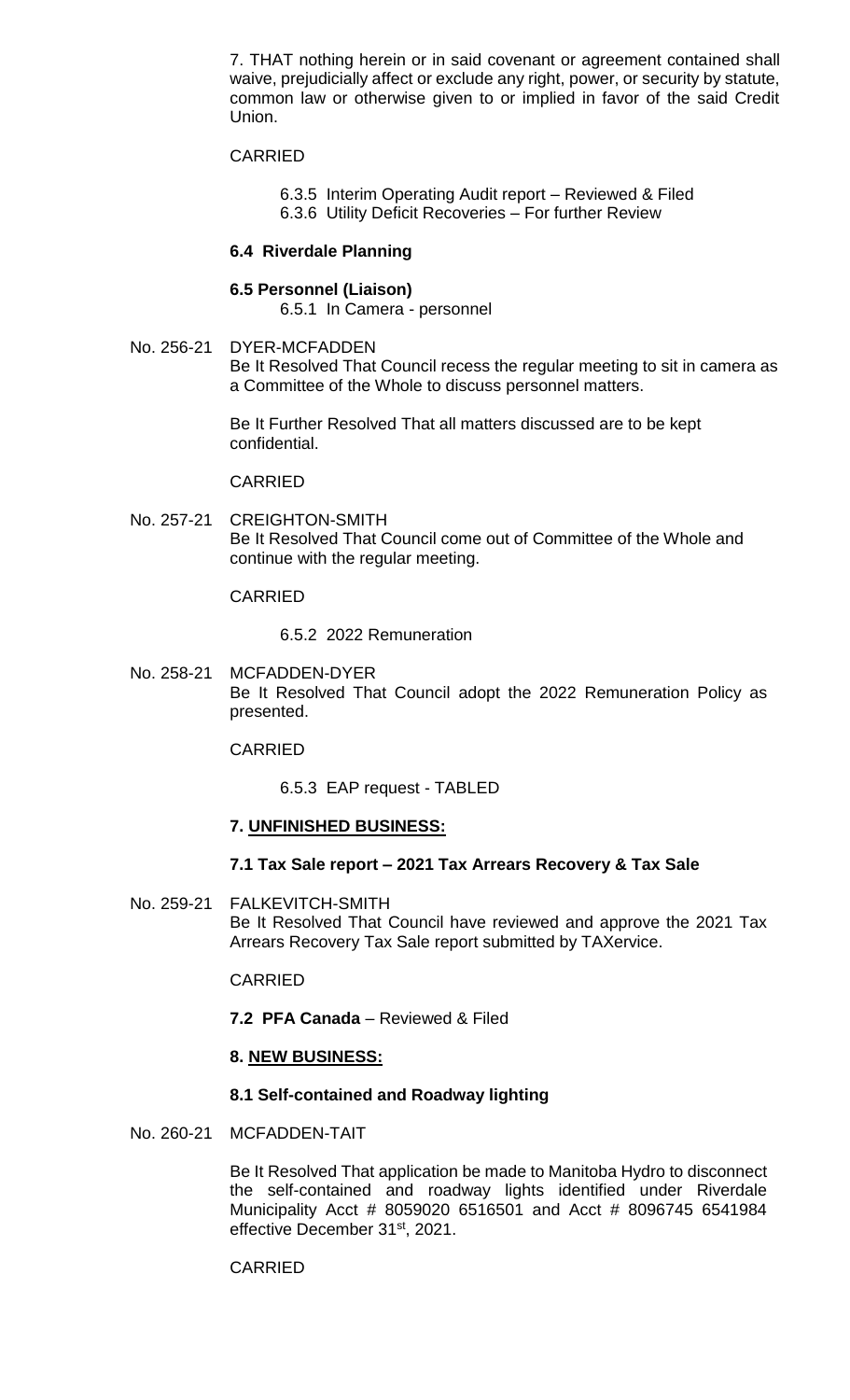7. THAT nothing herein or in said covenant or agreement contained shall waive, prejudicially affect or exclude any right, power, or security by statute, common law or otherwise given to or implied in favor of the said Credit Union.

## CARRIED

- 6.3.5 Interim Operating Audit report Reviewed & Filed
- 6.3.6 Utility Deficit Recoveries For further Review

#### **6.4 Riverdale Planning**

#### **6.5 Personnel (Liaison)**

6.5.1 In Camera - personnel

No. 256-21 DYER-MCFADDEN Be It Resolved That Council recess the regular meeting to sit in camera as a Committee of the Whole to discuss personnel matters.

> Be It Further Resolved That all matters discussed are to be kept confidential.

#### CARRIED

No. 257-21 CREIGHTON-SMITH Be It Resolved That Council come out of Committee of the Whole and continue with the regular meeting.

#### CARRIED

6.5.2 2022 Remuneration

No. 258-21 MCFADDEN-DYER Be It Resolved That Council adopt the 2022 Remuneration Policy as presented.

### CARRIED

6.5.3 EAP request - TABLED

#### **7. UNFINISHED BUSINESS:**

#### **7.1 Tax Sale report – 2021 Tax Arrears Recovery & Tax Sale**

No. 259-21 FALKEVITCH-SMITH Be It Resolved That Council have reviewed and approve the 2021 Tax Arrears Recovery Tax Sale report submitted by TAXervice.

#### CARRIED

**7.2 PFA Canada** – Reviewed & Filed

#### **8. NEW BUSINESS:**

#### **8.1 Self-contained and Roadway lighting**

No. 260-21 MCFADDEN-TAIT

Be It Resolved That application be made to Manitoba Hydro to disconnect the self-contained and roadway lights identified under Riverdale Municipality Acct # 8059020 6516501 and Acct # 8096745 6541984 effective December 31<sup>st</sup>, 2021.

# CARRIED